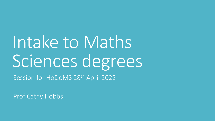# Intake to Maths Sciences degrees

Session for HoDoMS 28th April 2022

Prof Cathy Hobbs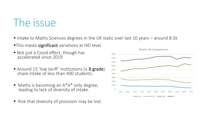## The issue

- Intake to Maths Sciences degrees in the UK static over last 10 years around 8.5k
- **This masks significant** variations at HEI level
- Not just a Covid effect, though has accelerated since 2019
- Around 15 'low tariff' institutions (≤ B grade) share intake of less than 400 students.
- $\blacksquare$  Maths is becoming an  $A^*A^*$  only degree, leading to lack of diversity of intake.
- Risk that diversity of provision may be lost.



Maths UG Acceptances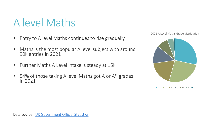# A level Maths

- Entry to A level Maths continues to rise gradually
- Maths is the most popular A level subject with around 90k entries in 2021
- Further Maths A Level intake is steady at 15k
- 54% of those taking A level Maths got A or A\* grades in 2021

2021 A Level Maths Grade distribution



 $R \bullet C \bullet D$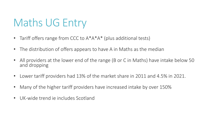# Maths UG Entry

- Tariff offers range from CCC to  $A^*A^*A^*$  (plus additional tests)
- The distribution of offers appears to have A in Maths as the median
- All providers at the lower end of the range (B or C in Maths) have intake below 50 and dropping
- Lower tariff providers had 13% of the market share in 2011 and 4.5% in 2021.
- Many of the higher tariff providers have increased intake by over 150%
- UK-wide trend ie includes Scotland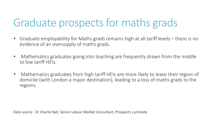## Graduate prospects for maths grads

- Graduate employability for Maths grads remains high at all tariff levels there is no evidence of an oversupply of maths grads.
- Mathematics graduates going into teaching are frequently drawn from the middle to low tariff HEIs.
- Mathematics graduates from high tariff HEIs are more likely to leave their region of domicile (with London a major destination), leading to a loss of maths grads to the regions.

Data source: Dr Charlie Ball, Senior Labour Market Consultant, Prospects Luminate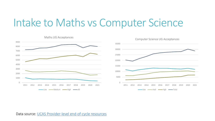#### Intake to Maths vs Computer Science



Data source: [UCAS Provider-level end-of-cycle resources](https://www.ucas.com/data-and-analysis/undergraduate-statistics-and-reports/ucas-undergraduate-sector-level-end-cycle-data-resources-2021/2021-entry-provider-level-end-cycle-data-resources)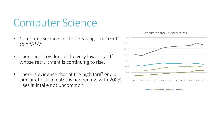### Computer Science

- Computer Science tariff offers range from CCC to A\*A\*A\*
- There are providers at the very lowest tariff whose recruitment is continuing to rise.
- There is evidence that at the high tariff end a similar effect to maths is happening, with 200% rises in intake not uncommon.

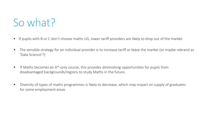## So what?

- If pupils with B or C don't choose maths UG, lower tariff providers are likely to drop out of the market.
- The sensible strategy for an individual provider is to increase tariff or leave the market (or maybe rebrand as 'Data Science'?)
- If Maths becomes an A<sup>\*</sup>-only course, this provides diminishing opportunities for pupils from disadvantaged backgrounds/regions to study Maths in the future.
- Diversity of types of maths programmes is likely to decrease, which may impact on supply of graduates for some employment areas